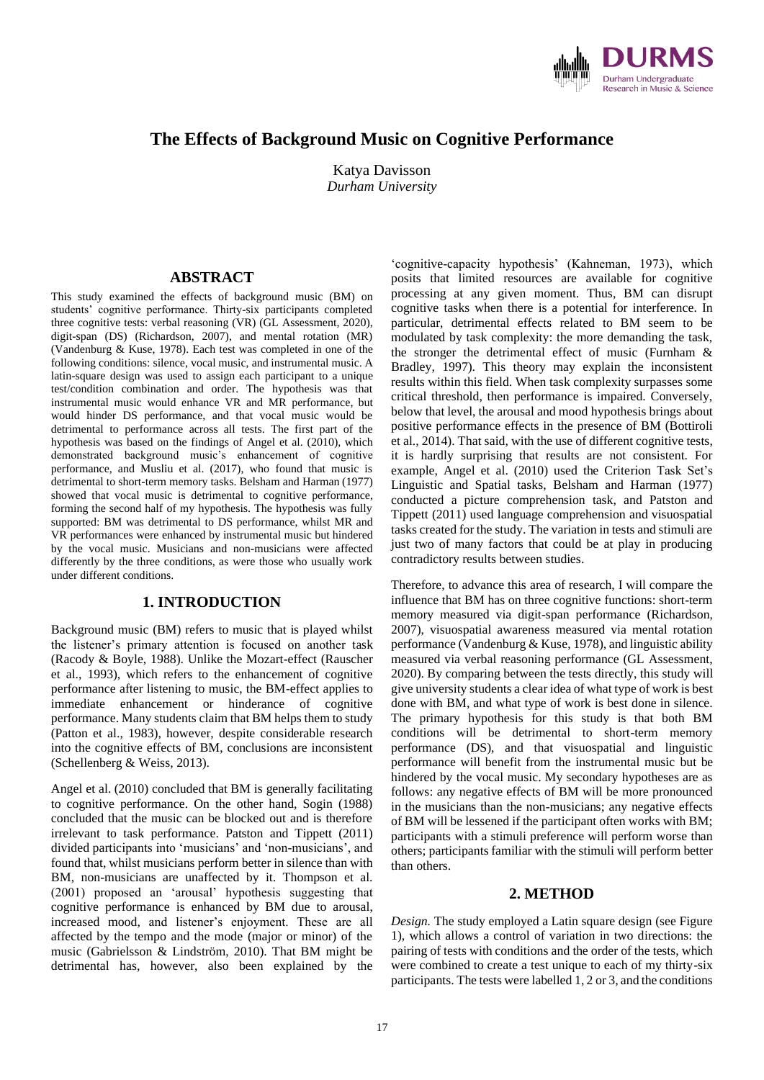

# **The Effects of Background Music on Cognitive Performance**

Katya Davisson *Durham University*

### **ABSTRACT**

This study examined the effects of background music (BM) on students' cognitive performance. Thirty-six participants completed three cognitive tests: verbal reasoning (VR) (GL Assessment, 2020), digit-span (DS) (Richardson, 2007), and mental rotation (MR) (Vandenburg & Kuse, 1978). Each test was completed in one of the following conditions: silence, vocal music, and instrumental music. A latin-square design was used to assign each participant to a unique test/condition combination and order. The hypothesis was that instrumental music would enhance VR and MR performance, but would hinder DS performance, and that vocal music would be detrimental to performance across all tests. The first part of the hypothesis was based on the findings of Angel et al. (2010), which demonstrated background music's enhancement of cognitive performance, and Musliu et al. (2017), who found that music is detrimental to short-term memory tasks. Belsham and Harman (1977) showed that vocal music is detrimental to cognitive performance, forming the second half of my hypothesis. The hypothesis was fully supported: BM was detrimental to DS performance, whilst MR and VR performances were enhanced by instrumental music but hindered by the vocal music. Musicians and non-musicians were affected differently by the three conditions, as were those who usually work under different conditions.

## **1. INTRODUCTION**

Background music (BM) refers to music that is played whilst the listener's primary attention is focused on another task (Racody & Boyle, 1988). Unlike the Mozart-effect (Rauscher et al., 1993), which refers to the enhancement of cognitive performance after listening to music, the BM-effect applies to immediate enhancement or hinderance of cognitive performance. Many students claim that BM helps them to study (Patton et al., 1983), however, despite considerable research into the cognitive effects of BM, conclusions are inconsistent (Schellenberg & Weiss, 2013).

Angel et al. (2010) concluded that BM is generally facilitating to cognitive performance. On the other hand, Sogin (1988) concluded that the music can be blocked out and is therefore irrelevant to task performance. Patston and Tippett (2011) divided participants into 'musicians' and 'non-musicians', and found that, whilst musicians perform better in silence than with BM, non-musicians are unaffected by it. Thompson et al. (2001) proposed an 'arousal' hypothesis suggesting that cognitive performance is enhanced by BM due to arousal, increased mood, and listener's enjoyment. These are all affected by the tempo and the mode (major or minor) of the music (Gabrielsson & Lindström, 2010). That BM might be detrimental has, however, also been explained by the

'cognitive-capacity hypothesis' (Kahneman, 1973), which posits that limited resources are available for cognitive processing at any given moment. Thus, BM can disrupt cognitive tasks when there is a potential for interference. In particular, detrimental effects related to BM seem to be modulated by task complexity: the more demanding the task, the stronger the detrimental effect of music (Furnham & Bradley, 1997). This theory may explain the inconsistent results within this field. When task complexity surpasses some critical threshold, then performance is impaired. Conversely, below that level, the arousal and mood hypothesis brings about positive performance effects in the presence of BM (Bottiroli et al., 2014). That said, with the use of different cognitive tests, it is hardly surprising that results are not consistent. For example, Angel et al. (2010) used the Criterion Task Set's Linguistic and Spatial tasks, Belsham and Harman (1977) conducted a picture comprehension task, and Patston and Tippett (2011) used language comprehension and visuospatial tasks created for the study. The variation in tests and stimuli are just two of many factors that could be at play in producing contradictory results between studies.

Therefore, to advance this area of research, I will compare the influence that BM has on three cognitive functions: short-term memory measured via digit-span performance (Richardson, 2007), visuospatial awareness measured via mental rotation performance (Vandenburg & Kuse, 1978), and linguistic ability measured via verbal reasoning performance (GL Assessment, 2020). By comparing between the tests directly, this study will give university students a clear idea of what type of work is best done with BM, and what type of work is best done in silence. The primary hypothesis for this study is that both BM conditions will be detrimental to short-term memory performance (DS), and that visuospatial and linguistic performance will benefit from the instrumental music but be hindered by the vocal music. My secondary hypotheses are as follows: any negative effects of BM will be more pronounced in the musicians than the non-musicians; any negative effects of BM will be lessened if the participant often works with BM; participants with a stimuli preference will perform worse than others; participants familiar with the stimuli will perform better than others.

#### **2. METHOD**

*Design.* The study employed a Latin square design (see Figure 1), which allows a control of variation in two directions: the pairing of tests with conditions and the order of the tests, which were combined to create a test unique to each of my thirty-six participants. The tests were labelled 1, 2 or 3, and the conditions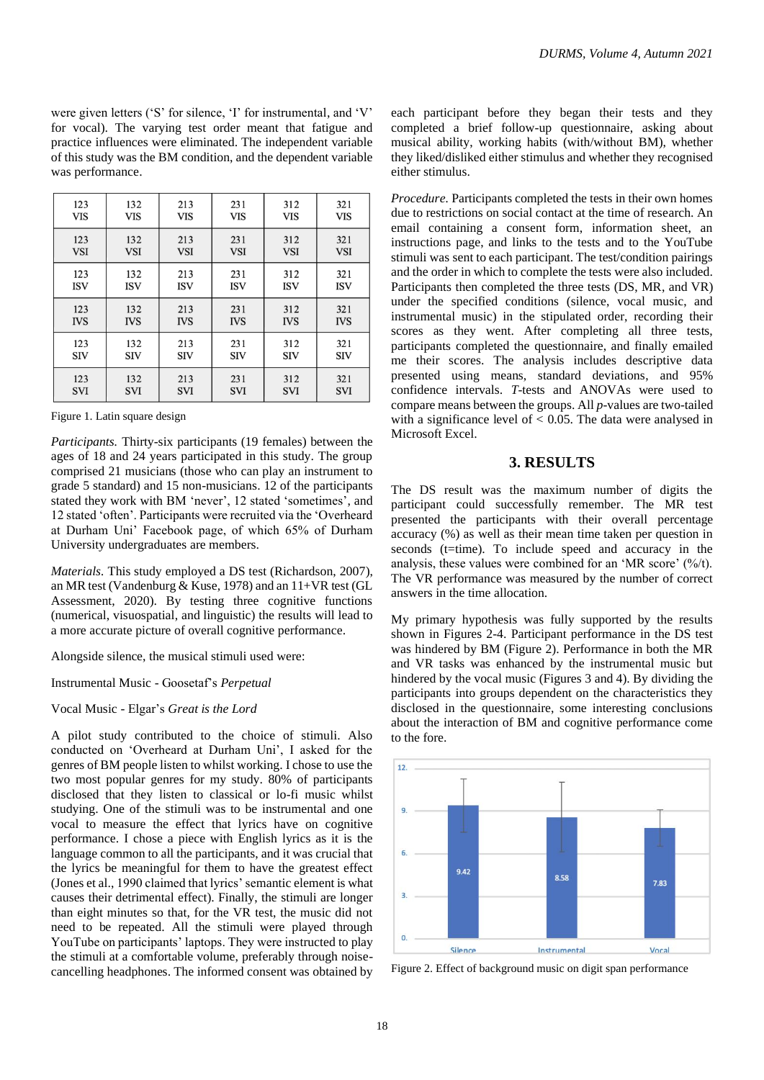were given letters ('S' for silence, 'I' for instrumental, and 'V' for vocal). The varying test order meant that fatigue and practice influences were eliminated. The independent variable of this study was the BM condition, and the dependent variable was performance.

| 123        | 132        | 213        | 231        | 312        | 321        |
|------------|------------|------------|------------|------------|------------|
| <b>VIS</b> | VIS        | VIS        | <b>VIS</b> | <b>VIS</b> | <b>VIS</b> |
| 123        | 132        | 213        | 231        | 312        | 321        |
| <b>VSI</b> | <b>VSI</b> | <b>VSI</b> | <b>VSI</b> | <b>VSI</b> | <b>VSI</b> |
| 123        | 132        | 213        | 231        | 312        | 321        |
| <b>ISV</b> | <b>ISV</b> | <b>ISV</b> | <b>ISV</b> | <b>ISV</b> | <b>ISV</b> |
| 123        | 132        | 213        | 231        | 312        | 321        |
| <b>IVS</b> | <b>IVS</b> | <b>IVS</b> | <b>IVS</b> | <b>IVS</b> | <b>IVS</b> |
| 123        | 132        | 213        | 231        | 312        | 321        |
| <b>SIV</b> | <b>SIV</b> | <b>SIV</b> | <b>SIV</b> | <b>SIV</b> | <b>SIV</b> |
| 123        | 132        | 213        | 231        | 312        | 321        |
| <b>SVI</b> | <b>SVI</b> | <b>SVI</b> | <b>SVI</b> | <b>SVI</b> | <b>SVI</b> |

Figure 1. Latin square design

*Participants.* Thirty-six participants (19 females) between the ages of 18 and 24 years participated in this study. The group comprised 21 musicians (those who can play an instrument to grade 5 standard) and 15 non-musicians. 12 of the participants stated they work with BM 'never', 12 stated 'sometimes', and 12 stated 'often'. Participants were recruited via the 'Overheard at Durham Uni' Facebook page, of which 65% of Durham University undergraduates are members.

*Materials.* This study employed a DS test (Richardson, 2007), an MR test (Vandenburg & Kuse, 1978) and an 11+VR test (GL Assessment, 2020). By testing three cognitive functions (numerical, visuospatial, and linguistic) the results will lead to a more accurate picture of overall cognitive performance.

Alongside silence, the musical stimuli used were:

Instrumental Music - Goosetaf's *Perpetual*

Vocal Music - Elgar's *Great is the Lord*

A pilot study contributed to the choice of stimuli. Also conducted on 'Overheard at Durham Uni', I asked for the genres of BM people listen to whilst working. I chose to use the two most popular genres for my study. 80% of participants disclosed that they listen to classical or lo-fi music whilst studying. One of the stimuli was to be instrumental and one vocal to measure the effect that lyrics have on cognitive performance. I chose a piece with English lyrics as it is the language common to all the participants, and it was crucial that the lyrics be meaningful for them to have the greatest effect (Jones et al., 1990 claimed that lyrics' semantic element is what causes their detrimental effect). Finally, the stimuli are longer than eight minutes so that, for the VR test, the music did not need to be repeated. All the stimuli were played through YouTube on participants' laptops. They were instructed to play the stimuli at a comfortable volume, preferably through noisecancelling headphones. The informed consent was obtained by

each participant before they began their tests and they completed a brief follow-up questionnaire, asking about musical ability, working habits (with/without BM), whether they liked/disliked either stimulus and whether they recognised either stimulus.

*Procedure.* Participants completed the tests in their own homes due to restrictions on social contact at the time of research. An email containing a consent form, information sheet, an instructions page, and links to the tests and to the YouTube stimuli was sent to each participant. The test/condition pairings and the order in which to complete the tests were also included. Participants then completed the three tests (DS, MR, and VR) under the specified conditions (silence, vocal music, and instrumental music) in the stipulated order, recording their scores as they went. After completing all three tests, participants completed the questionnaire, and finally emailed me their scores. The analysis includes descriptive data presented using means, standard deviations, and 95% confidence intervals. *T*-tests and ANOVAs were used to compare means between the groups. All *p*-values are two-tailed with a significance level of  $< 0.05$ . The data were analysed in Microsoft Excel.

### **3. RESULTS**

The DS result was the maximum number of digits the participant could successfully remember. The MR test presented the participants with their overall percentage accuracy (%) as well as their mean time taken per question in seconds (t=time). To include speed and accuracy in the analysis, these values were combined for an 'MR score' (%/t). The VR performance was measured by the number of correct answers in the time allocation.

My primary hypothesis was fully supported by the results shown in Figures 2-4. Participant performance in the DS test was hindered by BM (Figure 2). Performance in both the MR and VR tasks was enhanced by the instrumental music but hindered by the vocal music (Figures 3 and 4). By dividing the participants into groups dependent on the characteristics they disclosed in the questionnaire, some interesting conclusions about the interaction of BM and cognitive performance come to the fore.



Figure 2. Effect of background music on digit span performance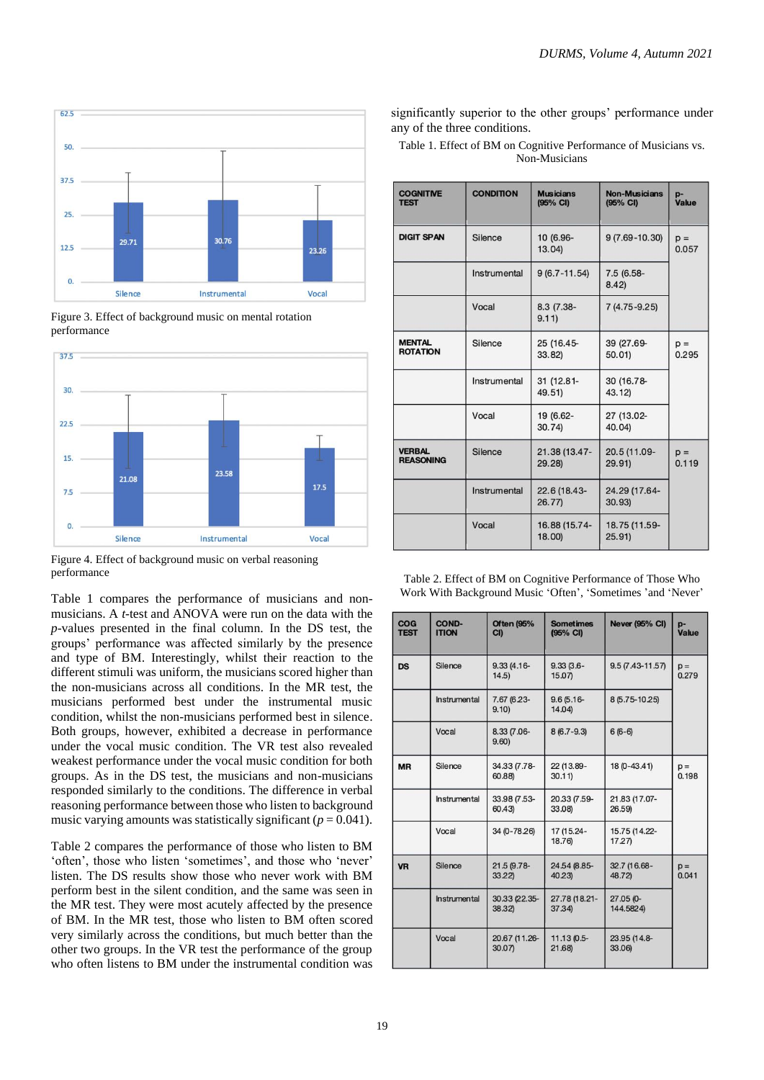

Figure 3. Effect of background music on mental rotation performance



Figure 4. Effect of background music on verbal reasoning performance

Table 1 compares the performance of musicians and nonmusicians. A *t*-test and ANOVA were run on the data with the *p*-values presented in the final column. In the DS test, the groups' performance was affected similarly by the presence and type of BM. Interestingly, whilst their reaction to the different stimuli was uniform, the musicians scored higher than the non-musicians across all conditions. In the MR test, the musicians performed best under the instrumental music condition, whilst the non-musicians performed best in silence. Both groups, however, exhibited a decrease in performance under the vocal music condition. The VR test also revealed weakest performance under the vocal music condition for both groups. As in the DS test, the musicians and non-musicians responded similarly to the conditions. The difference in verbal reasoning performance between those who listen to background music varying amounts was statistically significant ( $p = 0.041$ ).

Table 2 compares the performance of those who listen to BM 'often', those who listen 'sometimes', and those who 'never' listen. The DS results show those who never work with BM perform best in the silent condition, and the same was seen in the MR test. They were most acutely affected by the presence of BM. In the MR test, those who listen to BM often scored very similarly across the conditions, but much better than the other two groups. In the VR test the performance of the group who often listens to BM under the instrumental condition was significantly superior to the other groups' performance under any of the three conditions.

Table 1. Effect of BM on Cognitive Performance of Musicians vs. Non-Musicians

| <b>COGNITIVE</b><br><b>TEST</b>   | <b>CONDITION</b> | <b>Musicians</b><br>(95% CI) | <b>Non-Musicians</b><br>(95% CI) | p-<br>Value    |
|-----------------------------------|------------------|------------------------------|----------------------------------|----------------|
| <b>DIGIT SPAN</b>                 | Silence          | 10 (6.96-<br>13.04           | $9(7.69 - 10.30)$                | $p =$<br>0.057 |
|                                   | Instrumental     | $9(6.7 - 11.54)$             | 7.5 (6.58-<br>8.42               |                |
|                                   | Vocal            | 8.3 (7.38-<br>9.11)          | $7(4.75 - 9.25)$                 |                |
| <b>MENTAL</b><br><b>ROTATION</b>  | Silence          | 25 (16.45-<br>33.82)         | 39 (27.69-<br>50.01              | $p =$<br>0.295 |
|                                   | Instrumental     | 31 (12.81-<br>49.51          | 30 (16.78-<br>43.12)             |                |
|                                   | Vocal            | 19 (6.62-<br>30.74           | 27 (13.02-<br>40.04              |                |
| <b>VERBAL</b><br><b>REASONING</b> | Silence          | 21.38 (13.47-<br>29.28       | 20.5 (11.09-<br>29.91)           | $p =$<br>0.119 |
|                                   | Instrumental     | 22.6 (18.43-<br>26.77        | 24.29 (17.64-<br>30.93)          |                |
|                                   | Vocal            | 16.88 (15.74-<br>18.00       | 18.75 (11.59-<br>25.91)          |                |

| Table 2. Effect of BM on Cognitive Performance of Those Who |  |
|-------------------------------------------------------------|--|
| Work With Background Music 'Often', 'Sometimes' and 'Never' |  |

| <b>COG</b><br><b>TEST</b> | COND-<br><b>ITION</b> | <b>Often (95%</b><br>C <sub>II</sub> | <b>Sometimes</b><br>(95% CI) | <b>Never (95% CI)</b>  | p-<br>Value    |
|---------------------------|-----------------------|--------------------------------------|------------------------------|------------------------|----------------|
| <b>DS</b>                 | Silence               | $9.33(4.16 -$<br>14.5                | $9.33(3.6 -$<br>15.07        | $9.5(7.43 - 11.57)$    | $p =$<br>0.279 |
|                           | Instrumental          | 7.67 (6.23-<br>9.10)                 | $9.6(5.16 -$<br>14.04        | 8 (5.75-10.25)         |                |
|                           | Vocal                 | 8.33 (7.06-<br>9.60                  | $8(6.7-9.3)$                 | $6(6-6)$               |                |
| <b>MR</b>                 | Silence               | 34.33 (7.78-<br>60.88)               | 22 (13.89-<br>30.11          | 18 (0-43.41)           | $D =$<br>0.198 |
|                           | Instrumental          | 33.98 (7.53-<br>60.43                | 20.33 (7.59-<br>33.08)       | 21.83 (17.07-<br>26.59 |                |
|                           | Vocal                 | 34 (0-78.26)                         | 17 (15.24-<br>18.76)         | 15.75 (14.22-<br>17.27 |                |
| <b>VR</b>                 | Silence               | 21.5 (9.78-<br>33.22                 | 24.54 (8.85-<br>40.23        | 32.7 (16.68-<br>48.72) | $p =$<br>0.041 |
|                           | Instrumental          | 30.33 (22.35-<br>38.32)              | 27.78 (18.21-<br>37.34)      | 27.05 (0-<br>144.5824) |                |
|                           | Vocal                 | 20.67 (11.26-<br>30.07               | 11.13 (0.5-<br>21.68         | 23.95 (14.8-<br>33.06) |                |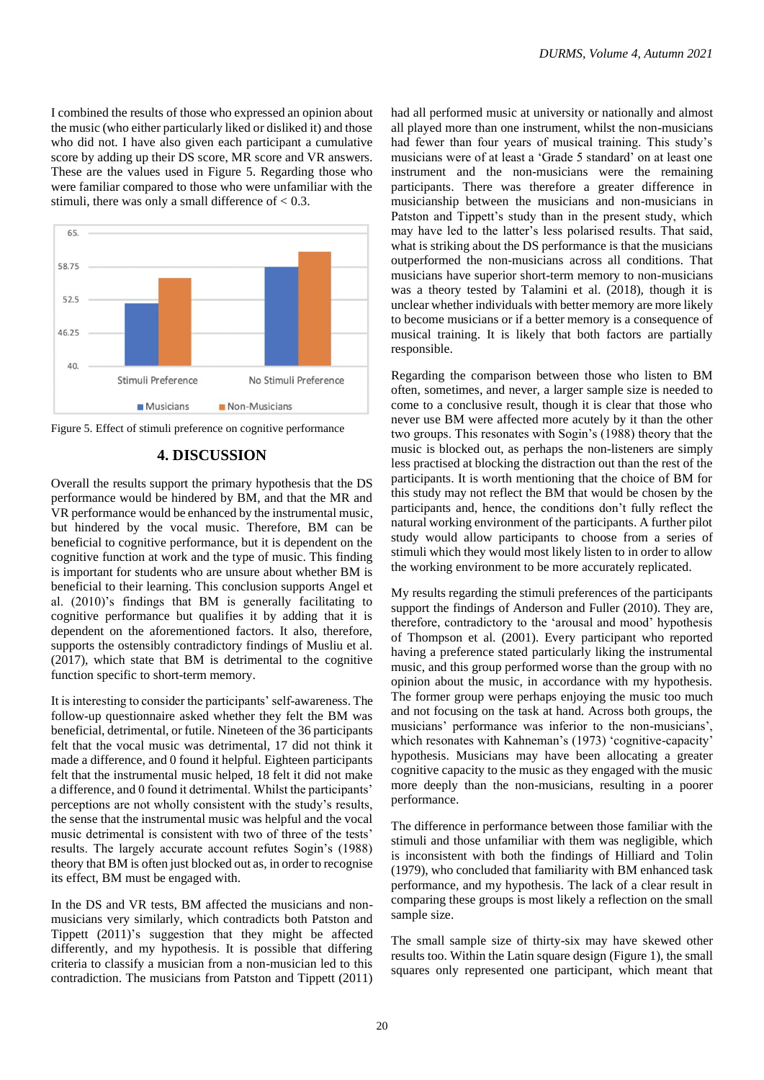I combined the results of those who expressed an opinion about the music (who either particularly liked or disliked it) and those who did not. I have also given each participant a cumulative score by adding up their DS score, MR score and VR answers. These are the values used in Figure 5. Regarding those who were familiar compared to those who were unfamiliar with the stimuli, there was only a small difference of  $< 0.3$ .



Figure 5. Effect of stimuli preference on cognitive performance

# **4. DISCUSSION**

Overall the results support the primary hypothesis that the DS performance would be hindered by BM, and that the MR and VR performance would be enhanced by the instrumental music, but hindered by the vocal music. Therefore, BM can be beneficial to cognitive performance, but it is dependent on the cognitive function at work and the type of music. This finding is important for students who are unsure about whether BM is beneficial to their learning. This conclusion supports Angel et al. (2010)'s findings that BM is generally facilitating to cognitive performance but qualifies it by adding that it is dependent on the aforementioned factors. It also, therefore, supports the ostensibly contradictory findings of Musliu et al. (2017), which state that BM is detrimental to the cognitive function specific to short-term memory.

It is interesting to consider the participants' self-awareness. The follow-up questionnaire asked whether they felt the BM was beneficial, detrimental, or futile. Nineteen of the 36 participants felt that the vocal music was detrimental, 17 did not think it made a difference, and 0 found it helpful. Eighteen participants felt that the instrumental music helped, 18 felt it did not make a difference, and 0 found it detrimental. Whilst the participants' perceptions are not wholly consistent with the study's results, the sense that the instrumental music was helpful and the vocal music detrimental is consistent with two of three of the tests' results. The largely accurate account refutes Sogin's (1988) theory that BM is often just blocked out as, in order to recognise its effect, BM must be engaged with.

In the DS and VR tests, BM affected the musicians and nonmusicians very similarly, which contradicts both Patston and Tippett (2011)'s suggestion that they might be affected differently, and my hypothesis. It is possible that differing criteria to classify a musician from a non-musician led to this contradiction. The musicians from Patston and Tippett (2011) had all performed music at university or nationally and almost all played more than one instrument, whilst the non-musicians had fewer than four years of musical training. This study's musicians were of at least a 'Grade 5 standard' on at least one instrument and the non-musicians were the remaining participants. There was therefore a greater difference in musicianship between the musicians and non-musicians in Patston and Tippett's study than in the present study, which may have led to the latter's less polarised results. That said, what is striking about the DS performance is that the musicians outperformed the non-musicians across all conditions. That musicians have superior short-term memory to non-musicians was a theory tested by Talamini et al. (2018), though it is unclear whether individuals with better memory are more likely to become musicians or if a better memory is a consequence of musical training. It is likely that both factors are partially responsible.

Regarding the comparison between those who listen to BM often, sometimes, and never, a larger sample size is needed to come to a conclusive result, though it is clear that those who never use BM were affected more acutely by it than the other two groups. This resonates with Sogin's (1988) theory that the music is blocked out, as perhaps the non-listeners are simply less practised at blocking the distraction out than the rest of the participants. It is worth mentioning that the choice of BM for this study may not reflect the BM that would be chosen by the participants and, hence, the conditions don't fully reflect the natural working environment of the participants. A further pilot study would allow participants to choose from a series of stimuli which they would most likely listen to in order to allow the working environment to be more accurately replicated.

My results regarding the stimuli preferences of the participants support the findings of Anderson and Fuller (2010). They are, therefore, contradictory to the 'arousal and mood' hypothesis of Thompson et al. (2001). Every participant who reported having a preference stated particularly liking the instrumental music, and this group performed worse than the group with no opinion about the music, in accordance with my hypothesis. The former group were perhaps enjoying the music too much and not focusing on the task at hand. Across both groups, the musicians' performance was inferior to the non-musicians', which resonates with Kahneman's (1973) 'cognitive-capacity' hypothesis. Musicians may have been allocating a greater cognitive capacity to the music as they engaged with the music more deeply than the non-musicians, resulting in a poorer performance.

The difference in performance between those familiar with the stimuli and those unfamiliar with them was negligible, which is inconsistent with both the findings of Hilliard and Tolin (1979), who concluded that familiarity with BM enhanced task performance, and my hypothesis. The lack of a clear result in comparing these groups is most likely a reflection on the small sample size.

The small sample size of thirty-six may have skewed other results too. Within the Latin square design (Figure 1), the small squares only represented one participant, which meant that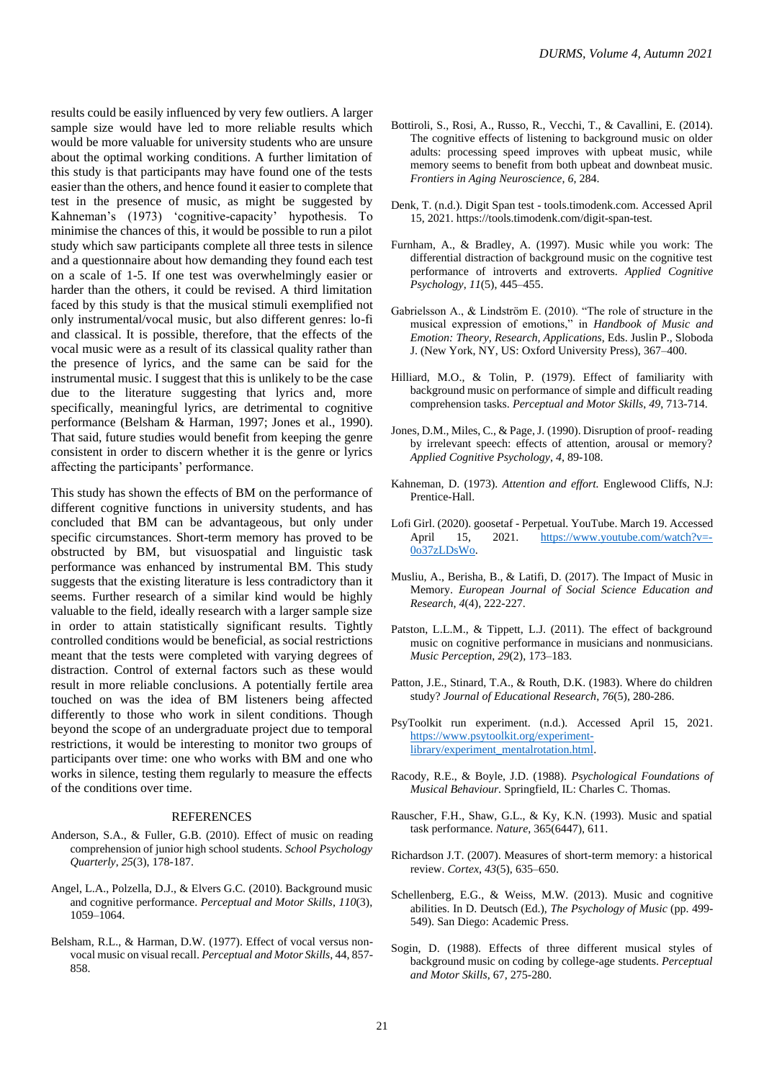results could be easily influenced by very few outliers. A larger sample size would have led to more reliable results which would be more valuable for university students who are unsure about the optimal working conditions. A further limitation of this study is that participants may have found one of the tests easier than the others, and hence found it easier to complete that test in the presence of music, as might be suggested by Kahneman's (1973) 'cognitive-capacity' hypothesis. To minimise the chances of this, it would be possible to run a pilot study which saw participants complete all three tests in silence and a questionnaire about how demanding they found each test on a scale of 1-5. If one test was overwhelmingly easier or harder than the others, it could be revised. A third limitation faced by this study is that the musical stimuli exemplified not only instrumental/vocal music, but also different genres: lo-fi and classical. It is possible, therefore, that the effects of the vocal music were as a result of its classical quality rather than the presence of lyrics, and the same can be said for the instrumental music. I suggest that this is unlikely to be the case due to the literature suggesting that lyrics and, more specifically, meaningful lyrics, are detrimental to cognitive performance (Belsham & Harman, 1997; Jones et al., 1990). That said, future studies would benefit from keeping the genre consistent in order to discern whether it is the genre or lyrics affecting the participants' performance.

This study has shown the effects of BM on the performance of different cognitive functions in university students, and has concluded that BM can be advantageous, but only under specific circumstances. Short-term memory has proved to be obstructed by BM, but visuospatial and linguistic task performance was enhanced by instrumental BM. This study suggests that the existing literature is less contradictory than it seems. Further research of a similar kind would be highly valuable to the field, ideally research with a larger sample size in order to attain statistically significant results. Tightly controlled conditions would be beneficial, as social restrictions meant that the tests were completed with varying degrees of distraction. Control of external factors such as these would result in more reliable conclusions. A potentially fertile area touched on was the idea of BM listeners being affected differently to those who work in silent conditions. Though beyond the scope of an undergraduate project due to temporal restrictions, it would be interesting to monitor two groups of participants over time: one who works with BM and one who works in silence, testing them regularly to measure the effects of the conditions over time.

#### REFERENCES

- Anderson, S.A., & Fuller, G.B. (2010). Effect of music on reading comprehension of junior high school students. *School Psychology Quarterly*, *25*(3), 178-187.
- Angel, L.A., Polzella, D.J., & Elvers G.C. (2010). Background music and cognitive performance. *Perceptual and Motor Skills*, *110*(3), 1059–1064.
- Belsham, R.L., & Harman, D.W. (1977). Effect of vocal versus nonvocal music on visual recall. *Perceptual and Motor Skills*, 44, 857- 858.
- Bottiroli, S., Rosi, A., Russo, R., Vecchi, T., & Cavallini, E. (2014). The cognitive effects of listening to background music on older adults: processing speed improves with upbeat music, while memory seems to benefit from both upbeat and downbeat music. *Frontiers in Aging Neuroscience*, *6*, 284.
- Denk, T. (n.d.). Digit Span test tools.timodenk.com. Accessed April 15, 2021. https://tools.timodenk.com/digit-span-test.
- Furnham, A., & Bradley, A. (1997). Music while you work: The differential distraction of background music on the cognitive test performance of introverts and extroverts. *Applied Cognitive Psychology*, *11*(5), 445–455.
- Gabrielsson A., & Lindström E. (2010). "The role of structure in the musical expression of emotions," in *Handbook of Music and Emotion: Theory, Research, Applications*, Eds. Juslin P., Sloboda J. (New York, NY, US: Oxford University Press), 367–400.
- Hilliard, M.O., & Tolin, P. (1979). Effect of familiarity with background music on performance of simple and difficult reading comprehension tasks. *Perceptual and Motor Skills*, *49*, 713-714.
- Jones, D.M., Miles, C., & Page, J. (1990). Disruption of proof- reading by irrelevant speech: effects of attention, arousal or memory? *Applied Cognitive Psychology*, *4*, 89-108.
- Kahneman, D. (1973). *Attention and effort.* Englewood Cliffs, N.J: Prentice-Hall.
- Lofi Girl. (2020). goosetaf Perpetual. YouTube. March 19. Accessed April 15, 2021. [https://www.youtube.com/watch?v=-](https://www.youtube.com/watch?v=-0o37zLDsWo) [0o37zLDsWo.](https://www.youtube.com/watch?v=-0o37zLDsWo)
- Musliu, A., Berisha, B., & Latifi, D. (2017). The Impact of Music in Memory. *European Journal of Social Science Education and Research*, *4*(4), 222-227.
- Patston, L.L.M., & Tippett, L.J. (2011). The effect of background music on cognitive performance in musicians and nonmusicians. *Music Perception*, *29*(2), 173–183.
- Patton, J.E., Stinard, T.A., & Routh, D.K. (1983). Where do children study? *Journal of Educational Research*, *76*(5), 280-286.
- PsyToolkit run experiment. (n.d.). Accessed April 15, 2021. [https://www.psytoolkit.org/experiment](https://www.psytoolkit.org/experiment-library/experiment_mentalrotation.html)[library/experiment\\_mentalrotation.html.](https://www.psytoolkit.org/experiment-library/experiment_mentalrotation.html)
- Racody, R.E., & Boyle, J.D. (1988). *Psychological Foundations of Musical Behaviour.* Springfield, IL: Charles C. Thomas.
- Rauscher, F.H., Shaw, G.L., & Ky, K.N. (1993). Music and spatial task performance. *Nature*, 365(6447), 611.
- Richardson J.T. (2007). Measures of short-term memory: a historical review. *Cortex*, *43*(5), 635–650.
- Schellenberg, E.G., & Weiss, M.W. (2013). Music and cognitive abilities. In D. Deutsch (Ed.), *The Psychology of Music* (pp. 499- 549). San Diego: Academic Press.
- Sogin, D. (1988). Effects of three different musical styles of background music on coding by college-age students. *Perceptual and Motor Skills*, 67, 275-280.